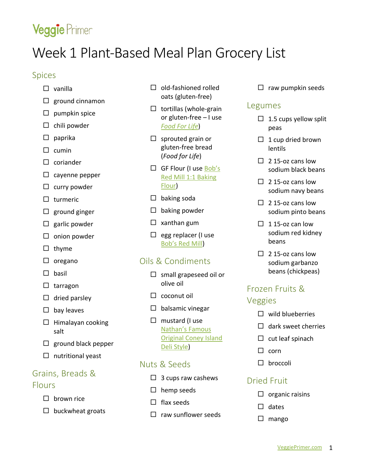# Veggie Primer

# Week 1 Plant-Based Meal Plan Grocery List

#### Spices

- vanilla
- $\Box$  ground cinnamon
- $\square$  pumpkin spice
- $\square$  chili powder
- $\square$  paprika
- $\Box$  cumin
- $\square$  coriander
- $\Box$  cayenne pepper
- $\square$  curry powder
- $\square$  turmeric
- $\square$  ground ginger
- $\Box$  garlic powder
- $\square$  onion powder
- $\Box$  thyme
- $\Box$  oregano
- $\Box$  basil
- $\Box$  tarragon
- $\Box$  dried parsley
- $\square$  bay leaves
- $\Box$  Himalayan cooking salt
- $\square$  ground black pepper
- $\Box$  nutritional yeast

#### Grains, Breads & Flours

- $\Box$  brown rice
- $\square$  buckwheat groats
- $\Box$  old-fashioned rolled oats (gluten-free)
- $\Box$  tortillas (whole-grain or gluten-free – I use *[Food For Life](https://www.foodforlife.com/products/tortillas)*)
- $\square$  sprouted grain or gluten-free bread (*Food for Life*)
- $\Box$  GF Flour (I use Bob's [Red Mill 1:1 Baking](https://www.bobsredmill.com/gluten-free-1-to-1-baking-flour.html)  [Flour\)](https://www.bobsredmill.com/gluten-free-1-to-1-baking-flour.html)
- $\Box$  baking soda
- $\square$  baking powder
- $\square$  xanthan gum
- $\Box$  egg replacer (I use Bob's [Red Mill\)](https://www.bobsredmill.com/gluten-free-vegan-egg-replacer.html)

## Oils & Condiments

- $\square$  small grapeseed oil or olive oil
- $\Box$  coconut oil
- $\Box$  balsamic vinegar
- $\Box$  mustard (I use [Nathan's Famous](https://nathansfamous.com/products/sauces-and-condiments/deli-style-mustard-squeeze-bottle/)  [Original Coney Island](https://nathansfamous.com/products/sauces-and-condiments/deli-style-mustard-squeeze-bottle/)  [Deli Style\)](https://nathansfamous.com/products/sauces-and-condiments/deli-style-mustard-squeeze-bottle/)

#### Nuts & Seeds

- $\Box$  3 cups raw cashews
- $\square$  hemp seeds
- $\Box$  flax seeds
- $\Box$  raw sunflower seeds

 $\Box$  raw pumpkin seeds

#### Legumes

- $\Box$  1.5 cups yellow split peas
- $\Box$  1 cup dried brown lentils
- $\Box$  2.15-oz cans low sodium black beans
- $\Box$  2 15-oz cans low sodium navy beans
- $\Box$  2 15-oz cans low sodium pinto beans
- $\Box$  115-oz can low sodium red kidney beans
- $\Box$  2.15-oz cans low sodium garbanzo beans (chickpeas)

## Frozen Fruits & Veggies

- $\Box$  wild blueberries
- $\Box$  dark sweet cherries
- $\square$  cut leaf spinach
- $\Box$  corn
- □ broccoli

## Dried Fruit

- $\Box$  organic raisins
- $\Box$  dates
- $\square$  mango